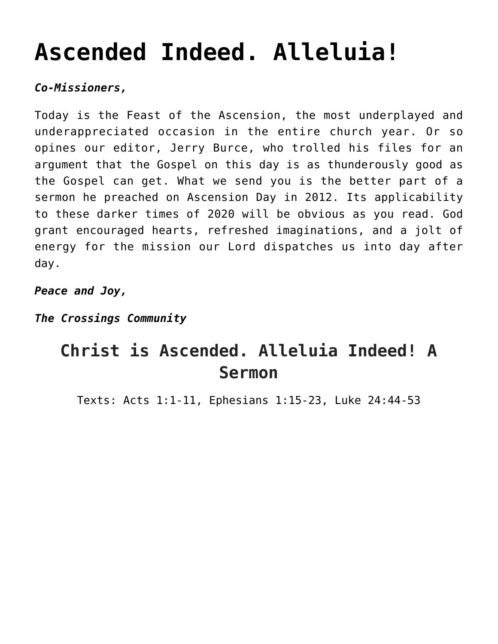# **[Ascended Indeed. Alleluia!](https://crossings.org/thursday-theology-may-21-2020/)**

# *Co-Missioners,*

Today is the Feast of the Ascension, the most underplayed and underappreciated occasion in the entire church year. Or so opines our editor, Jerry Burce, who trolled his files for an argument that the Gospel on this day is as thunderously good as the Gospel can get. What we send you is the better part of a sermon he preached on Ascension Day in 2012. Its applicability to these darker times of 2020 will be obvious as you read. God grant encouraged hearts, refreshed imaginations, and a jolt of energy for the mission our Lord dispatches us into day after day.

*Peace and Joy,*

*The Crossings Community*

# **Christ is Ascended. Alleluia Indeed! A Sermon**

Texts: Acts 1:1-11, Ephesians 1:15-23, Luke 24:44-53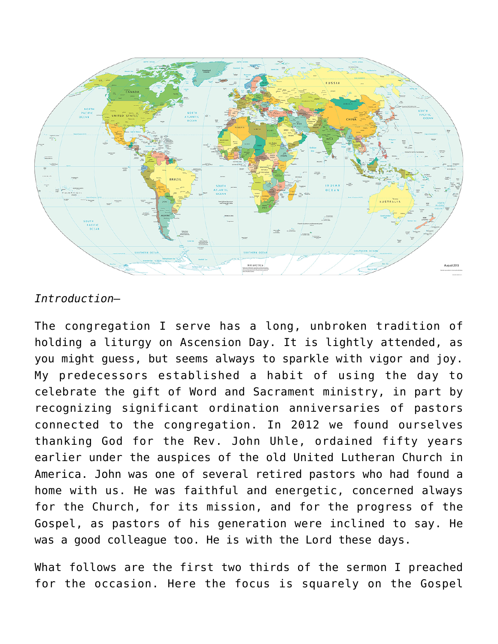

# *Introduction—*

The congregation I serve has a long, unbroken tradition of holding a liturgy on Ascension Day. It is lightly attended, as you might guess, but seems always to sparkle with vigor and joy. My predecessors established a habit of using the day to celebrate the gift of Word and Sacrament ministry, in part by recognizing significant ordination anniversaries of pastors connected to the congregation. In 2012 we found ourselves thanking God for the Rev. John Uhle, ordained fifty years earlier under the auspices of the old United Lutheran Church in America. John was one of several retired pastors who had found a home with us. He was faithful and energetic, concerned always for the Church, for its mission, and for the progress of the Gospel, as pastors of his generation were inclined to say. He was a good colleague too. He is with the Lord these days.

What follows are the first two thirds of the sermon I preached for the occasion. Here the focus is squarely on the Gospel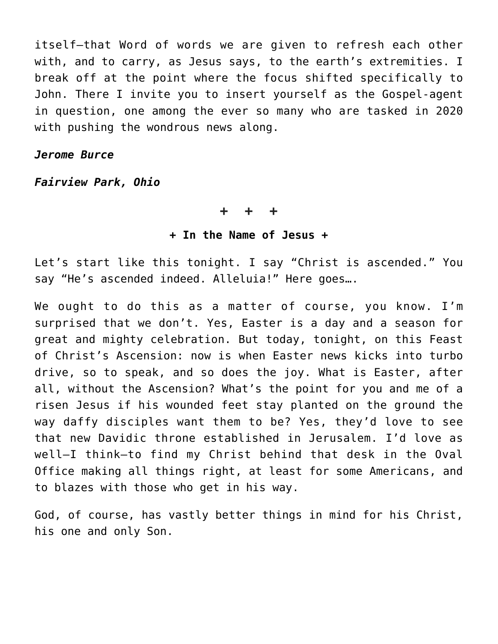itself—that Word of words we are given to refresh each other with, and to carry, as Jesus says, to the earth's extremities. I break off at the point where the focus shifted specifically to John. There I invite you to insert yourself as the Gospel-agent in question, one among the ever so many who are tasked in 2020 with pushing the wondrous news along.

#### *Jerome Burce*

*Fairview Park, Ohio*

#### **+ + +**

### **+ In the Name of Jesus +**

Let's start like this tonight. I say "Christ is ascended." You say "He's ascended indeed. Alleluia!" Here goes….

We ought to do this as a matter of course, you know. I'm surprised that we don't. Yes, Easter is a day and a season for great and mighty celebration. But today, tonight, on this Feast of Christ's Ascension: now is when Easter news kicks into turbo drive, so to speak, and so does the joy. What is Easter, after all, without the Ascension? What's the point for you and me of a risen Jesus if his wounded feet stay planted on the ground the way daffy disciples want them to be? Yes, they'd love to see that new Davidic throne established in Jerusalem. I'd love as well—I think—to find my Christ behind that desk in the Oval Office making all things right, at least for some Americans, and to blazes with those who get in his way.

God, of course, has vastly better things in mind for his Christ, his one and only Son.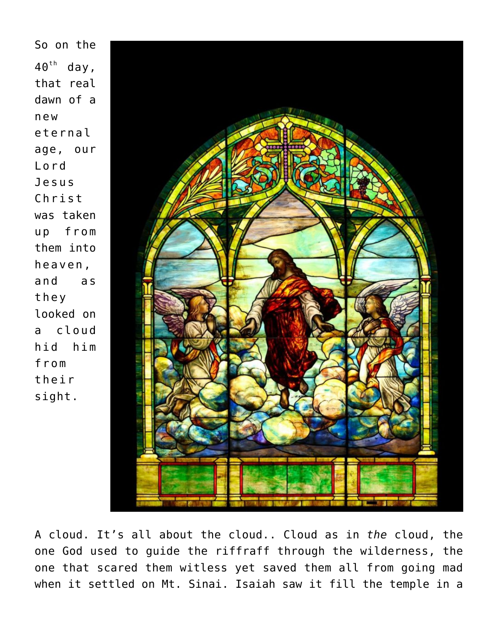So on the  $40<sup>th</sup>$  day, that real dawn of a new eternal age, our Lord Jesus Christ was taken up from them into heaven, and as they looked on a cloud hid him from their sight.



A cloud. It's all about the cloud.. Cloud as in *the* cloud, the one God used to guide the riffraff through the wilderness, the one that scared them witless yet saved them all from going mad when it settled on Mt. Sinai. Isaiah saw it fill the temple in a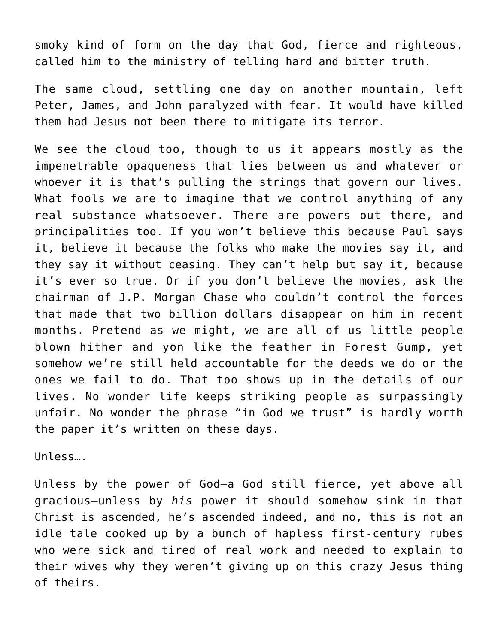smoky kind of form on the day that God, fierce and righteous, called him to the ministry of telling hard and bitter truth.

The same cloud, settling one day on another mountain, left Peter, James, and John paralyzed with fear. It would have killed them had Jesus not been there to mitigate its terror.

We see the cloud too, though to us it appears mostly as the impenetrable opaqueness that lies between us and whatever or whoever it is that's pulling the strings that govern our lives. What fools we are to imagine that we control anything of any real substance whatsoever. There are powers out there, and principalities too. If you won't believe this because Paul says it, believe it because the folks who make the movies say it, and they say it without ceasing. They can't help but say it, because it's ever so true. Or if you don't believe the movies, ask the chairman of J.P. Morgan Chase who couldn't control the forces that made that two billion dollars disappear on him in recent months. Pretend as we might, we are all of us little people blown hither and yon like the feather in Forest Gump, yet somehow we're still held accountable for the deeds we do or the ones we fail to do. That too shows up in the details of our lives. No wonder life keeps striking people as surpassingly unfair. No wonder the phrase "in God we trust" is hardly worth the paper it's written on these days.

Unless….

Unless by the power of God—a God still fierce, yet above all gracious—unless by *his* power it should somehow sink in that Christ is ascended, he's ascended indeed, and no, this is not an idle tale cooked up by a bunch of hapless first-century rubes who were sick and tired of real work and needed to explain to their wives why they weren't giving up on this crazy Jesus thing of theirs.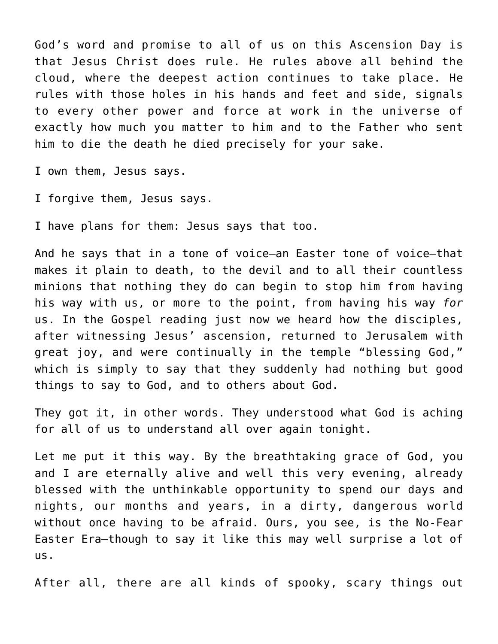God's word and promise to all of us on this Ascension Day is that Jesus Christ does rule. He rules above all behind the cloud, where the deepest action continues to take place. He rules with those holes in his hands and feet and side, signals to every other power and force at work in the universe of exactly how much you matter to him and to the Father who sent him to die the death he died precisely for your sake.

I own them, Jesus says.

I forgive them, Jesus says.

I have plans for them: Jesus says that too.

And he says that in a tone of voice—an Easter tone of voice—that makes it plain to death, to the devil and to all their countless minions that nothing they do can begin to stop him from having his way with us, or more to the point, from having his way *for* us. In the Gospel reading just now we heard how the disciples, after witnessing Jesus' ascension, returned to Jerusalem with great joy, and were continually in the temple "blessing God," which is simply to say that they suddenly had nothing but good things to say to God, and to others about God.

They got it, in other words. They understood what God is aching for all of us to understand all over again tonight.

Let me put it this way. By the breathtaking grace of God, you and I are eternally alive and well this very evening, already blessed with the unthinkable opportunity to spend our days and nights, our months and years, in a dirty, dangerous world without once having to be afraid. Ours, you see, is the No-Fear Easter Era—though to say it like this may well surprise a lot of us.

After all, there are all kinds of spooky, scary things out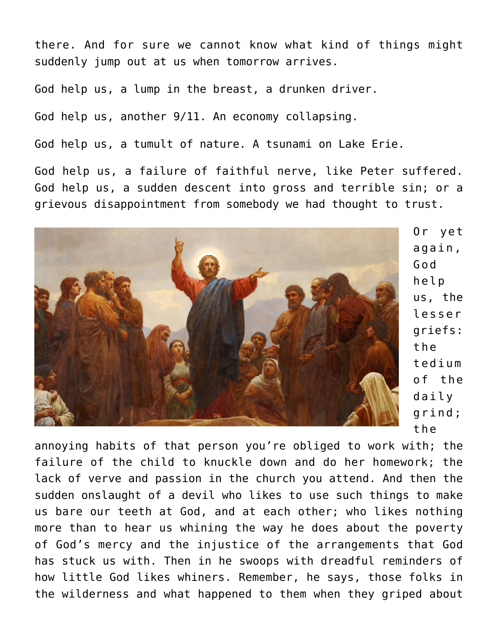there. And for sure we cannot know what kind of things might suddenly jump out at us when tomorrow arrives.

God help us, a lump in the breast, a drunken driver.

God help us, another 9/11. An economy collapsing.

God help us, a tumult of nature. A tsunami on Lake Erie.

God help us, a failure of faithful nerve, like Peter suffered. God help us, a sudden descent into gross and terrible sin; or a grievous disappointment from somebody we had thought to trust.



Or yet again, God help us, the lesser griefs: the tedium of the daily grind; the

annoying habits of that person you're obliged to work with; the failure of the child to knuckle down and do her homework; the lack of verve and passion in the church you attend. And then the sudden onslaught of a devil who likes to use such things to make us bare our teeth at God, and at each other; who likes nothing more than to hear us whining the way he does about the poverty of God's mercy and the injustice of the arrangements that God has stuck us with. Then in he swoops with dreadful reminders of how little God likes whiners. Remember, he says, those folks in the wilderness and what happened to them when they griped about